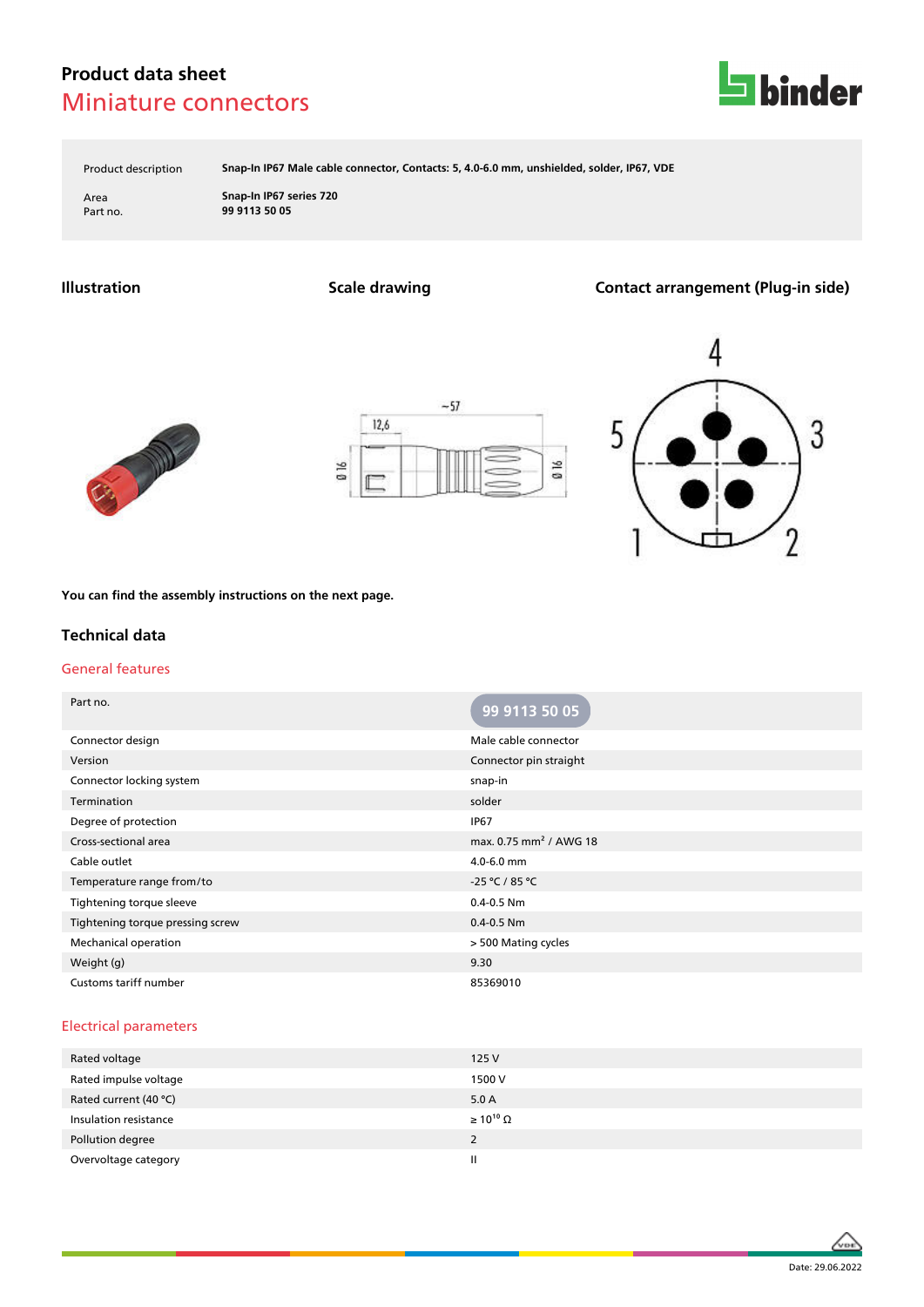# **Product data sheet** Miniature connectors



Product description **Snap-In IP67 Male cable connector, Contacts: 5, 4.0-6.0 mm, unshielded, solder, IP67, VDE**

Area **Snap-In IP67 series 720** Part no. **99 9113 50 05**

**Illustration Scale drawing Contact arrangement (Plug-in side)**







**You can find the assembly instructions on the next page.**

## **Technical data**

#### General features

| Part no.                         | 99 9113 50 05                      |
|----------------------------------|------------------------------------|
| Connector design                 | Male cable connector               |
| Version                          | Connector pin straight             |
| Connector locking system         | snap-in                            |
| Termination                      | solder                             |
| Degree of protection             | <b>IP67</b>                        |
| Cross-sectional area             | max. 0.75 mm <sup>2</sup> / AWG 18 |
| Cable outlet                     | 4.0-6.0 mm                         |
| Temperature range from/to        | -25 °C / 85 °C                     |
| Tightening torque sleeve         | $0.4 - 0.5$ Nm                     |
| Tightening torque pressing screw | $0.4 - 0.5$ Nm                     |
| Mechanical operation             | > 500 Mating cycles                |
| Weight (g)                       | 9.30                               |
| Customs tariff number            | 85369010                           |

#### Electrical parameters

| 125V                  |
|-----------------------|
| 1500 V                |
| 5.0A                  |
| $\geq 10^{10} \Omega$ |
| 2                     |
| Ш                     |
|                       |

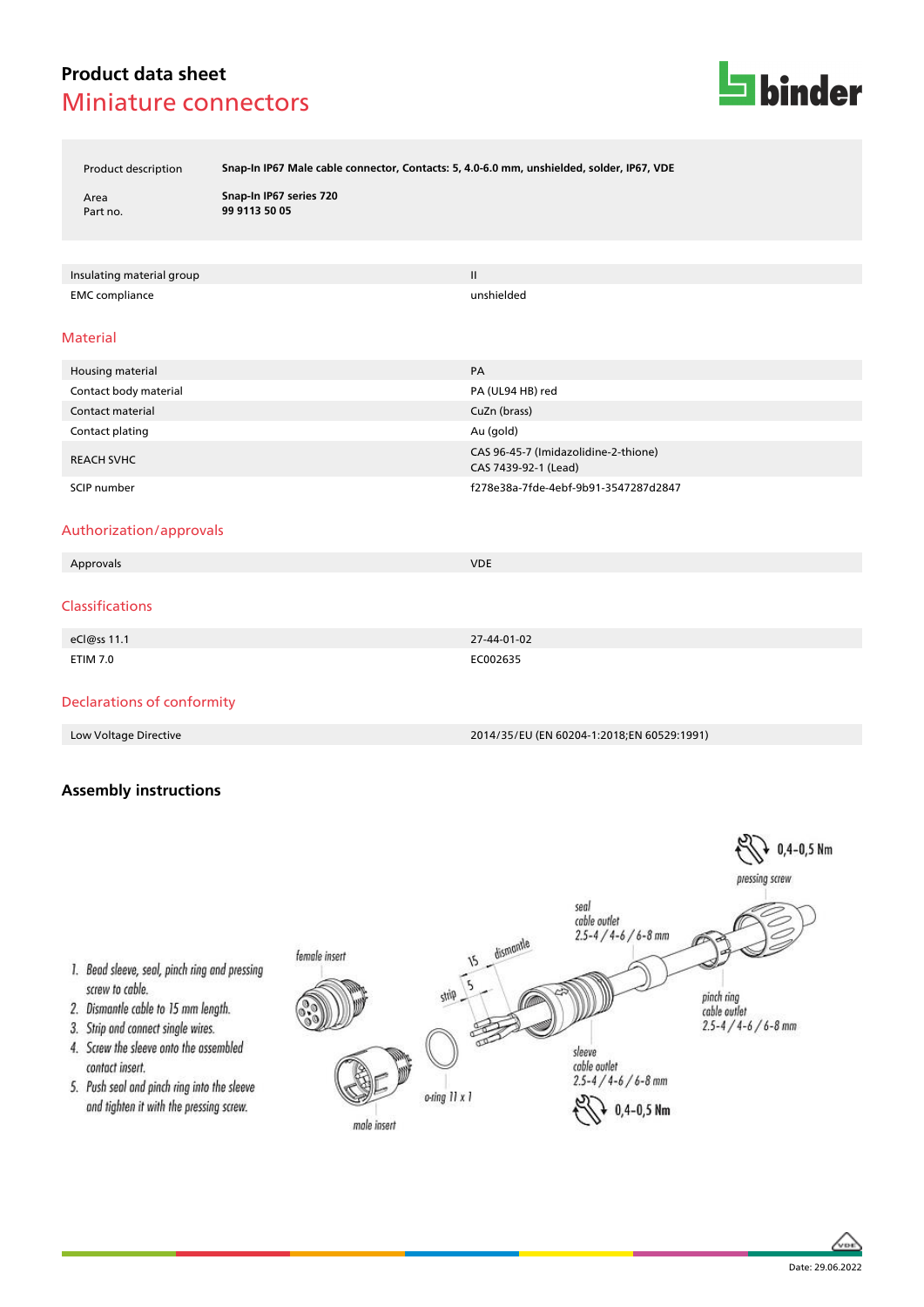# **Product data sheet** Miniature connectors



Product description **Snap-In IP67 Male cable connector, Contacts: 5, 4.0-6.0 mm, unshielded, solder, IP67, VDE**

Area **Snap-In IP67 series 720** Part no. **99 9113 50 05**

Insulating material group II and the control of the control of the control of the control of the control of the control of the control of the control of the control of the control of the control of the control of the contr EMC compliance unshielded

### Material

| Housing material        | PA                                                           |
|-------------------------|--------------------------------------------------------------|
| Contact body material   | PA (UL94 HB) red                                             |
| <b>Contact material</b> | CuZn (brass)                                                 |
| Contact plating         | Au (gold)                                                    |
| <b>REACH SVHC</b>       | CAS 96-45-7 (Imidazolidine-2-thione)<br>CAS 7439-92-1 (Lead) |
| SCIP number             | f278e38a-7fde-4ebf-9b91-3547287d2847                         |

### Authorization/approvals

| Approvals              | <b>VDE</b>  |  |
|------------------------|-------------|--|
|                        |             |  |
| <b>Classifications</b> |             |  |
|                        |             |  |
| eCl@ss 11.1            | 27-44-01-02 |  |
| <b>ETIM 7.0</b>        | EC002635    |  |

## Declarations of conformity

Low Voltage Directive 2014/35/EU (EN 60204-1:2018;EN 60529:1991)

## **Assembly instructions**





- 1. Bead sleeve, seal, pinch ring and pressing screw to cable.
- 2. Dismantle cable to 15 mm length.
- 3. Strip and connect single wires.
- 4. Screw the sleeve onto the assembled contact insert.
- 5. Push seal and pinch ring into the sleeve and tighten it with the pressing screw.